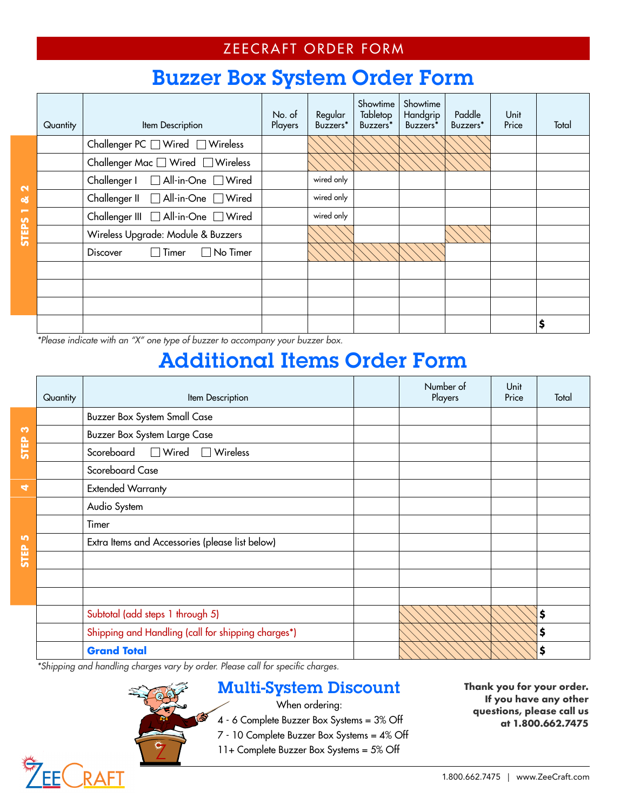### ZEECRAFT ORDER FORM

## Buzzer Box System Order Form

|                         | Quantity | Item Description                                      | No. of<br>Players | Regular<br>Buzzers* | Showtime<br>Tabletop<br>Buzzers* | Showtime<br>Handgrip<br>Buzzers* | Paddle<br>Buzzers* | Unit<br>Price | Total |
|-------------------------|----------|-------------------------------------------------------|-------------------|---------------------|----------------------------------|----------------------------------|--------------------|---------------|-------|
|                         |          | Challenger PC $\Box$ Wired $\Box$ Wireless            |                   |                     |                                  |                                  |                    |               |       |
|                         |          | Challenger Mac □ Wired □ Wireless                     |                   |                     |                                  |                                  |                    |               |       |
| $\overline{\mathbf{c}}$ |          | Challenger I   All-in-One   Wired                     |                   | wired only          |                                  |                                  |                    |               |       |
| ಳ                       |          | Challenger II   All-in-One   Wired                    |                   | wired only          |                                  |                                  |                    |               |       |
| ÷                       |          | Challenger III   All-in-One   Wired                   |                   | wired only          |                                  |                                  |                    |               |       |
| <b>STEPS</b>            |          | Wireless Upgrade: Module & Buzzers                    |                   |                     |                                  |                                  |                    |               |       |
|                         |          | Timer<br>$\Box$ No Timer<br><b>Discover</b><br>$\Box$ |                   |                     |                                  |                                  |                    |               |       |
|                         |          |                                                       |                   |                     |                                  |                                  |                    |               |       |
|                         |          |                                                       |                   |                     |                                  |                                  |                    |               |       |
|                         |          |                                                       |                   |                     |                                  |                                  |                    |               |       |
|                         |          |                                                       |                   |                     |                                  |                                  |                    |               | \$    |

\*Please indicate with an "X" one type of buzzer to accompany your buzzer box.

# Additional Items Order Form

|                      | Quantity | Item Description                                   | Number of<br>Players | Unit<br>Price | Total |
|----------------------|----------|----------------------------------------------------|----------------------|---------------|-------|
|                      |          | <b>Buzzer Box System Small Case</b>                |                      |               |       |
| S                    |          | <b>Buzzer Box System Large Case</b>                |                      |               |       |
| STEP                 |          | Scoreboard<br>$\Box$ Wired<br>$\Box$ Wireless      |                      |               |       |
|                      |          | Scoreboard Case                                    |                      |               |       |
| $\blacktriangleleft$ |          | <b>Extended Warranty</b>                           |                      |               |       |
|                      |          | Audio System                                       |                      |               |       |
|                      |          | Timer                                              |                      |               |       |
| <b>In</b>            |          | Extra Items and Accessories (please list below)    |                      |               |       |
| <b>STEP</b>          |          |                                                    |                      |               |       |
|                      |          |                                                    |                      |               |       |
|                      |          |                                                    |                      |               |       |
|                      |          | Subtotal (add steps 1 through 5)                   |                      |               | \$    |
|                      |          | Shipping and Handling (call for shipping charges*) |                      |               | \$    |
|                      |          | <b>Grand Total</b><br>$\cdots$<br>$\sim$<br>$\sim$ |                      |               | \$    |

\*Shipping and handling charges vary by order. Please call for specific charges.

16

### Multi-System Discount

When ordering:

4 - 6 Complete Buzzer Box Systems = 3% Off

7 - 10 Complete Buzzer Box Systems = 4% Off

11+ Complete Buzzer Box Systems = 5% Off

**Thank you for your order. If you have any other questions, please call us at 1.800.662.7475**